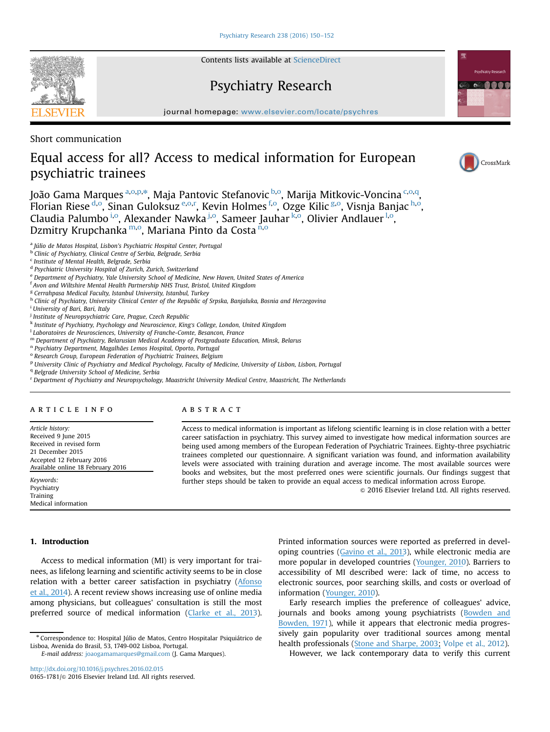Contents lists available at [ScienceDirect](www.sciencedirect.com/science/journal/01651781)

# Psychiatry Research

journal homepage: <www.elsevier.com/locate/psychres>e/psychrese/psychrese/psychrese/psychrese/psychrese/psychrese/psychrese/psychrese/psychrese/psychrese/psychrese/psychrese/psychrese/psychrese/psychrese/psychrese/psychrese

Short communication

## Equal access for all? Access to medical information for European psychiatric trainees

João Gama Marques <sup>a,o,p,\*</sup>, Maja Pantovic Stefanovic <sup>b,o</sup>, Marija Mitkovic-Voncina <sup>c,o,q</sup>, Florian Riese <sup>d,o</sup>, Sinan Guloksuz <sup>e,o,r</sup>, Kevin Holmes <sup>f,o</sup>, Ozge Kilic <sup>g,o</sup>, Visnja Banjac <sup>h,o</sup>, Claudia Palumbo <sup>i,o</sup>, Alexander Nawka <sup>j,o</sup>, Sameer Jauhar <sup>k,o</sup>, Olivier Andlauer <sup>l,o</sup>, Dzmitry Krupchanka<sup>m,o</sup>, Mariana Pinto da Costa<sup>n,o</sup>

<sup>a</sup> Júlio de Matos Hospital, Lisbon's Psychiatric Hospital Center, Portugal

b Clinic of Psychiatry, Clinical Centre of Serbia, Belgrade, Serbia

<sup>c</sup> Institute of Mental Health, Belgrade, Serbia

<sup>d</sup> Psychiatric University Hospital of Zurich, Zurich, Switzerland

<sup>e</sup> Department of Psychiatry, Yale University School of Medicine, New Haven, United States of America

<sup>f</sup> Avon and Wiltshire Mental Health Partnership NHS Trust, Bristol, United Kingdom

<sup>g</sup> Cerrahpasa Medical Faculty, Istanbul University, Istanbul, Turkey

h Clinic of Psychiatry, University Clinical Center of the Republic of Srpska, Banjaluka, Bosnia and Herzegovina

<sup>i</sup> University of Bari, Bari, Italy

<sup>i</sup> Institute of Neuropsychiatric Care, Prague, Czech Republic

<sup>k</sup> Institute of Psychiatry, Psychology and Neuroscience, King's College, London, United Kingdom

 $^{\rm l}$  Laboratoires de Neurosciences, University of Franche-Comte, Besancon, France

<sup>m</sup> Department of Psychiatry, Belarusian Medical Academy of Postgraduate Education, Minsk, Belarus

<sup>n</sup> Psychiatry Department, Magalhães Lemos Hospital, Oporto, Portugal

<sup>o</sup> Research Group, European Federation of Psychiatric Trainees, Belgium

<sup>p</sup> University Clinic of Psychiatry and Medical Psychology, Faculty of Medicine, University of Lisbon, Lisbon, Portugal

<sup>q</sup> Belgrade University School of Medicine, Serbia

<sup>r</sup> Department of Psychiatry and Neuropsychology, Maastricht University Medical Centre, Maastricht, The Netherlands

### article info

Article history: Received 9 June 2015 Received in revised form 21 December 2015 Accepted 12 February 2016 Available online 18 February 2016

Keywords: Psychiatry Training Medical information

## ABSTRACT

Access to medical information is important as lifelong scientific learning is in close relation with a better career satisfaction in psychiatry. This survey aimed to investigate how medical information sources are being used among members of the European Federation of Psychiatric Trainees. Eighty-three psychiatric trainees completed our questionnaire. A significant variation was found, and information availability levels were associated with training duration and average income. The most available sources were books and websites, but the most preferred ones were scientific journals. Our findings suggest that further steps should be taken to provide an equal access to medical information across Europe.

 $\odot$  2016 Elsevier Ireland Ltd. All rights reserved.

## 1. Introduction

Access to medical information (MI) is very important for trainees, as lifelong learning and scientific activity seems to be in close relation with a better career satisfaction in psychiatry ([Afonso](https://www.researchgate.net/publication/261766422_Assessing_the_relation_between_career_satisfaction_in_psychiatry_with_lifelong_learning_and_scientific_activity?el=1_x_8&enrichId=rgreq-5d35a276-487b-4840-9efa-8cc9c4b2447f&enrichSource=Y292ZXJQYWdlOzI5NTA5MTg4NztBUzozMzI3MjkzMDk3Nzc5MjBAMTQ1NjM0MDI1NzMxMg==) [et al., 2014](https://www.researchgate.net/publication/261766422_Assessing_the_relation_between_career_satisfaction_in_psychiatry_with_lifelong_learning_and_scientific_activity?el=1_x_8&enrichId=rgreq-5d35a276-487b-4840-9efa-8cc9c4b2447f&enrichSource=Y292ZXJQYWdlOzI5NTA5MTg4NztBUzozMzI3MjkzMDk3Nzc5MjBAMTQ1NjM0MDI1NzMxMg==)). A recent review shows increasing use of online media among physicians, but colleagues' consultation is still the most preferred source of medical information ([Clarke et al., 2013](https://www.researchgate.net/publication/256187680_Information_needs_and_information-seeking_behaviour_analysis_of_primary_care_physicians_and_nurses_A_literature_review?el=1_x_8&enrichId=rgreq-5d35a276-487b-4840-9efa-8cc9c4b2447f&enrichSource=Y292ZXJQYWdlOzI5NTA5MTg4NztBUzozMzI3MjkzMDk3Nzc5MjBAMTQ1NjM0MDI1NzMxMg==)).

E-mail address: [joaogamamarques@gmail.com](mailto:joaogamamarques@gmail.com) (J. Gama Marques).

Printed information sources were reported as preferred in developing countries ([Gavino et al., 2013](https://www.researchgate.net/publication/258765421_Information-seeking_trends_of_medical_professionals_and_students_from_middle-income_countries_A_focus_on_the_Philippines?el=1_x_8&enrichId=rgreq-5d35a276-487b-4840-9efa-8cc9c4b2447f&enrichSource=Y292ZXJQYWdlOzI5NTA5MTg4NztBUzozMzI3MjkzMDk3Nzc5MjBAMTQ1NjM0MDI1NzMxMg==)), while electronic media are more popular in developed countries ([Younger, 2010](https://www.researchgate.net/publication/43200240_Internet-based_information-seeking_behaviour_amongst_doctors_and_nurses_A_short_review_of_the_literature_Review_Article?el=1_x_8&enrichId=rgreq-5d35a276-487b-4840-9efa-8cc9c4b2447f&enrichSource=Y292ZXJQYWdlOzI5NTA5MTg4NztBUzozMzI3MjkzMDk3Nzc5MjBAMTQ1NjM0MDI1NzMxMg==)). Barriers to accessibility of MI described were: lack of time, no access to electronic sources, poor searching skills, and costs or overload of information ([Younger, 2010](https://www.researchgate.net/publication/43200240_Internet-based_information-seeking_behaviour_amongst_doctors_and_nurses_A_short_review_of_the_literature_Review_Article?el=1_x_8&enrichId=rgreq-5d35a276-487b-4840-9efa-8cc9c4b2447f&enrichSource=Y292ZXJQYWdlOzI5NTA5MTg4NztBUzozMzI3MjkzMDk3Nzc5MjBAMTQ1NjM0MDI1NzMxMg==)).

Early research implies the preference of colleagues' advice, journals and books among young psychiatrists ([Bowden and](https://www.researchgate.net/publication/18039540_A_survey_of_informa-tion_sources_used_by_psychiatrists?el=1_x_8&enrichId=rgreq-5d35a276-487b-4840-9efa-8cc9c4b2447f&enrichSource=Y292ZXJQYWdlOzI5NTA5MTg4NztBUzozMzI3MjkzMDk3Nzc5MjBAMTQ1NjM0MDI1NzMxMg==) [Bowden, 1971](https://www.researchgate.net/publication/18039540_A_survey_of_informa-tion_sources_used_by_psychiatrists?el=1_x_8&enrichId=rgreq-5d35a276-487b-4840-9efa-8cc9c4b2447f&enrichSource=Y292ZXJQYWdlOzI5NTA5MTg4NztBUzozMzI3MjkzMDk3Nzc5MjBAMTQ1NjM0MDI1NzMxMg==)), while it appears that electronic media progressively gain popularity over traditional sources among mental health professionals ([Stone and Sharpe, 2003;](https://www.researchgate.net/publication/10987706_Internet_resources_for_psychiatry_and_neuropsychiatry?el=1_x_8&enrichId=rgreq-5d35a276-487b-4840-9efa-8cc9c4b2447f&enrichSource=Y292ZXJQYWdlOzI5NTA5MTg4NztBUzozMzI3MjkzMDk3Nzc5MjBAMTQ1NjM0MDI1NzMxMg==) Volpe et al., 2012).

However, we lack contemporary data to verify this current





CrossMark

**Psychiatry Pesearch COOOO** 

<sup>n</sup> Correspondence to: Hospital Júlio de Matos, Centro Hospitalar Psiquiátrico de Lisboa, Avenida do Brasil, 53, 1749-002 Lisboa, Portugal.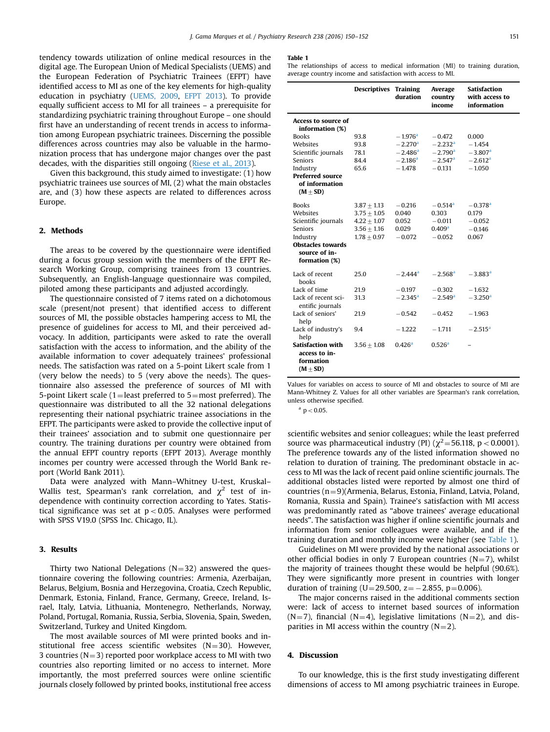tendency towards utilization of online medical resources in the digital age. The European Union of Medical Specialists (UEMS) and the European Federation of Psychiatric Trainees (EFPT) have identified access to MI as one of the key elements for high-quality education in psychiatry (UEMS, 2009, EFPT 2013). To provide equally sufficient access to MI for all trainees – a prerequisite for standardizing psychiatric training throughout Europe – one should first have an understanding of recent trends in access to information among European psychiatric trainees. Discerning the possible differences across countries may also be valuable in the harmonization process that has undergone major changes over the past decades, with the disparities still ongoing ([Riese et al., 2013](https://www.researchgate.net/publication/235886100_Transition_from_psychiatric_training_to_independent_practice_A_survey_on_the_situation_of_early_career_psychiatrists_in_35_countries?el=1_x_8&enrichId=rgreq-5d35a276-487b-4840-9efa-8cc9c4b2447f&enrichSource=Y292ZXJQYWdlOzI5NTA5MTg4NztBUzozMzI3MjkzMDk3Nzc5MjBAMTQ1NjM0MDI1NzMxMg==)).

Given this background, this study aimed to investigate: (1) how psychiatric trainees use sources of MI, (2) what the main obstacles are, and (3) how these aspects are related to differences across Europe.

#### 2. Methods

The areas to be covered by the questionnaire were identified during a focus group session with the members of the EFPT Research Working Group, comprising trainees from 13 countries. Subsequently, an English-language questionnaire was compiled, piloted among these participants and adjusted accordingly.

The questionnaire consisted of 7 items rated on a dichotomous scale (present/not present) that identified access to different sources of MI, the possible obstacles hampering access to MI, the presence of guidelines for access to MI, and their perceived advocacy. In addition, participants were asked to rate the overall satisfaction with the access to information, and the ability of the available information to cover adequately trainees' professional needs. The satisfaction was rated on a 5-point Likert scale from 1 (very below the needs) to 5 (very above the needs). The questionnaire also assessed the preference of sources of MI with 5-point Likert scale (1=least preferred to 5=most preferred). The questionnaire was distributed to all the 32 national delegations representing their national psychiatric trainee associations in the EFPT. The participants were asked to provide the collective input of their trainees' association and to submit one questionnaire per country. The training durations per country were obtained from the annual EFPT country reports (EFPT 2013). Average monthly incomes per country were accessed through the World Bank report (World Bank 2011).

Data were analyzed with Mann–Whitney U-test, Kruskal– Wallis test, Spearman's rank correlation, and  $\chi^2$  test of independence with continuity correction according to Yates. Statistical significance was set at  $p < 0.05$ . Analyses were performed with SPSS V19.0 (SPSS Inc. Chicago, IL).

## 3. Results

Thirty two National Delegations ( $N=32$ ) answered the questionnaire covering the following countries: Armenia, Azerbaijan, Belarus, Belgium, Bosnia and Herzegovina, Croatia, Czech Republic, Denmark, Estonia, Finland, France, Germany, Greece, Ireland, Israel, Italy, Latvia, Lithuania, Montenegro, Netherlands, Norway, Poland, Portugal, Romania, Russia, Serbia, Slovenia, Spain, Sweden, Switzerland, Turkey and United Kingdom.

The most available sources of MI were printed books and institutional free access scientific websites  $(N=30)$ . However, 3 countries ( $N=3$ ) reported poor workplace access to MI with two countries also reporting limited or no access to internet. More importantly, the most preferred sources were online scientific journals closely followed by printed books, institutional free access

#### Table 1

The relationships of access to medical information (MI) to training duration, average country income and satisfaction with access to MI.

|                                                                        | <b>Descriptives Training</b> | duration              | Average<br>country<br>income | Satisfaction<br>with access to<br>information |
|------------------------------------------------------------------------|------------------------------|-----------------------|------------------------------|-----------------------------------------------|
| Access to source of<br>information (%)                                 |                              |                       |                              |                                               |
| <b>Books</b>                                                           | 93.8                         | $-1.976$ <sup>a</sup> | $-0.472$                     | 0.000                                         |
| Websites                                                               | 93.8                         | $-2.270$ <sup>a</sup> | $-2.232$ <sup>a</sup>        | $-1.454$                                      |
| Scientific journals                                                    | 78.1                         | $-2.486$ <sup>a</sup> | $-2.790$ <sup>a</sup>        | $-3.807$ <sup>a</sup>                         |
| Seniors                                                                | 84.4                         | $-2.186$ <sup>a</sup> | $-2.547$ <sup>a</sup>        | $-2.612$ <sup>a</sup>                         |
| Industry                                                               | 65.6                         | $-1.478$              | $-0.131$                     | $-1.050$                                      |
| <b>Preferred source</b><br>of information<br>$(M + SD)$                |                              |                       |                              |                                               |
| <b>Books</b>                                                           | $3.87 + 1.13$                | $-0.216$              | $-0.514$ <sup>a</sup>        | $-0.378$ <sup>a</sup>                         |
| Websites                                                               | $3.75 + 1.05$                | 0.040                 | 0.303                        | 0.179                                         |
| Scientific journals                                                    | $4.22 + 1.07$                | 0.052                 | $-0.011$                     | $-0.052$                                      |
| <b>Seniors</b>                                                         | $3.56 + 1.16$                | 0.029                 | $0.409^{\rm a}$              | $-0.146$                                      |
| Industry                                                               | $1.78 + 0.97$                | $-0.072$              | $-0.052$                     | 0.067                                         |
| <b>Obstacles towards</b>                                               |                              |                       |                              |                                               |
| source of in-                                                          |                              |                       |                              |                                               |
| formation (%)                                                          |                              |                       |                              |                                               |
| Lack of recent<br><b>books</b>                                         | 25.0                         | $-2.444^{\rm a}$      | $-2.568$ <sup>a</sup>        | $-3.883$ <sup>a</sup>                         |
| Lack of time                                                           | 21.9                         | $-0.197$              | $-0.302$                     | $-1.632$                                      |
| Lack of recent sci-<br>entific journals                                | 31.3                         | $-2.345^{\rm a}$      | $-2.549$ <sup>a</sup>        | $-3.250$ <sup>a</sup>                         |
| Lack of seniors'<br>help                                               | 21.9                         | $-0.542$              | $-0.452$                     | $-1.963$                                      |
| Lack of industry's<br>help                                             | 9.4                          | $-1.222$              | $-1.711$                     | $-2.515^{\rm a}$                              |
| <b>Satisfaction with</b><br>access to in-<br>formation<br>$(M \pm SD)$ | $3.56 + 1.08$                | 0.426 <sup>a</sup>    | 0.526 <sup>a</sup>           |                                               |

Values for variables on access to source of MI and obstacles to source of MI are Mann-Whitney Z. Values for all other variables are Spearman's rank correlation, unless otherwise specified.

 $a$  p  $< 0.05$ .

scientific websites and senior colleagues; while the least preferred source was pharmaceutical industry (PI) ( $\chi^2$ =56.118, p < 0.0001). The preference towards any of the listed information showed no relation to duration of training. The predominant obstacle in access to MI was the lack of recent paid online scientific journals. The additional obstacles listed were reported by almost one third of countries  $(n=9)$ (Armenia, Belarus, Estonia, Finland, Latvia, Poland, Romania, Russia and Spain). Trainee's satisfaction with MI access was predominantly rated as "above trainees' average educational needs". The satisfaction was higher if online scientific journals and information from senior colleagues were available, and if the training duration and monthly income were higher (see Table 1).

Guidelines on MI were provided by the national associations or other official bodies in only 7 European countries ( $N=7$ ), whilst the majority of trainees thought these would be helpful (90.6%). They were significantly more present in countries with longer duration of training (U=29.500, z= $-2.855$ , p=0.006).

The major concerns raised in the additional comments section were: lack of access to internet based sources of information  $(N=7)$ , financial  $(N=4)$ , legislative limitations  $(N=2)$ , and disparities in MI access within the country  $(N=2)$ .

#### 4. Discussion

To our knowledge, this is the first study investigating different dimensions of access to MI among psychiatric trainees in Europe.